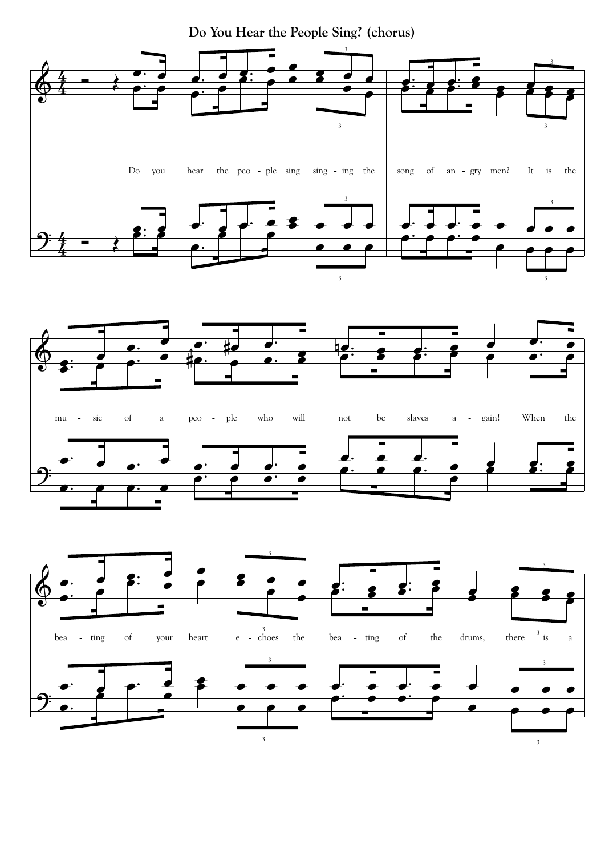**Do You Hear the People Sing? (chorus)**